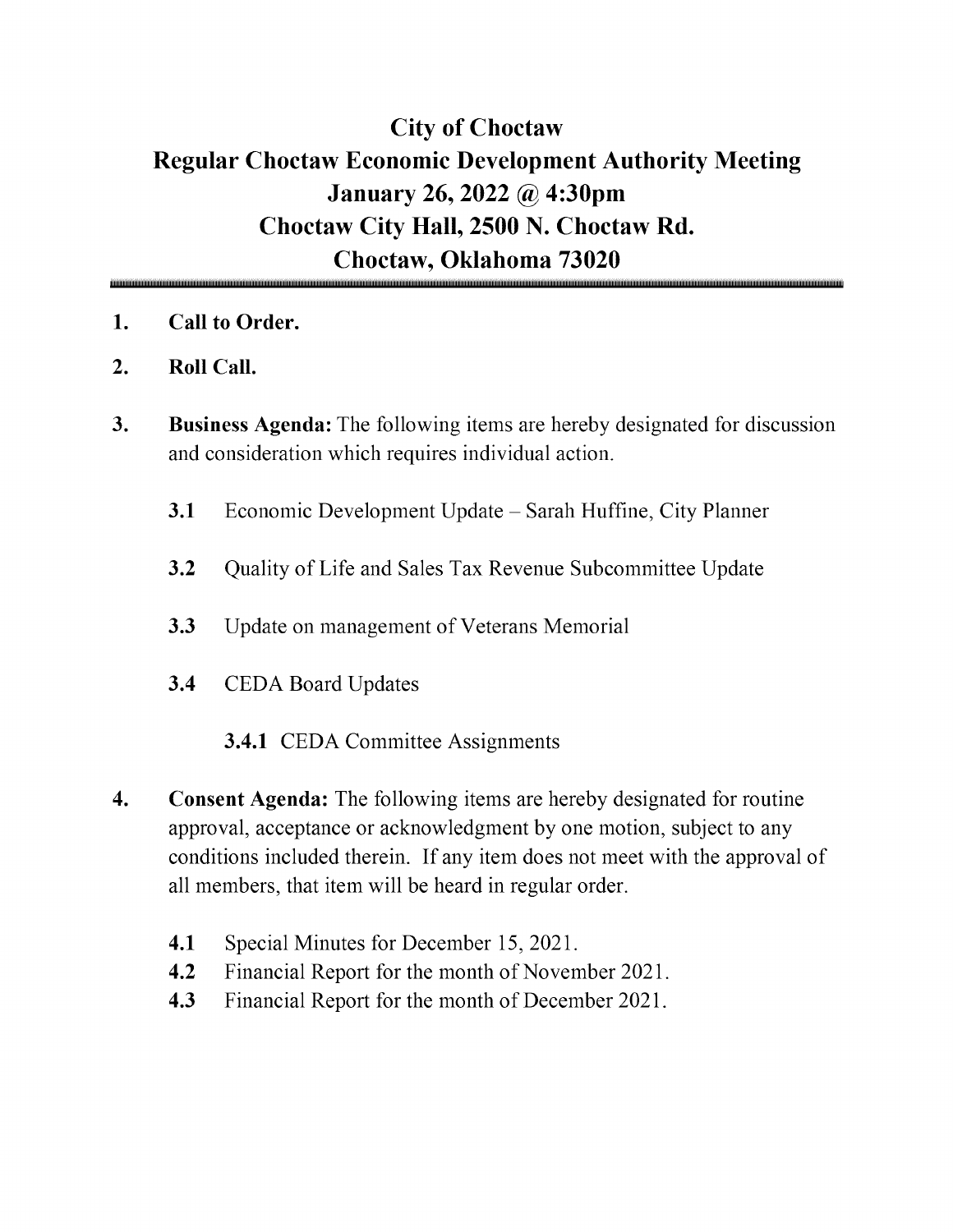## City of Choctaw Regular Choctaw Economic Development Authority Meeting January 26, 2022 @ 4:30pm Choctaw City Hall, 2500 N. Choctaw Rd. Choctaw, Oklahoma 73020

- 1. Call to Order.
- 2. Roll Call.
- 3. Business Agenda: The following items are hereby designated for discussion and consideration which requires individual action.
	- 3.1 Economic Development Update Sarah Huffine, City Planner
	- 3.2 Quality of Life and Sales Tax Revenue Subcommittee Update
	- 3.3 Update on management of Veterans Memorial
	- 3.4 CEDA Board Updates
		- 3.4.1 CEDA Committee Assignments
- 4. Consent Agenda: The following items are hereby designated for routine approval, acceptance or acknowledgment by one motion, subject to any conditions included therein. If any item does not meet with the approval of all members, that item will be heard in regular order.
	- 4.1 Special Minutes for December 15, 2021.
	- 4.2 Financial Report for the month of November 2021.
	- 4.3 Financial Report for the month of December 2021.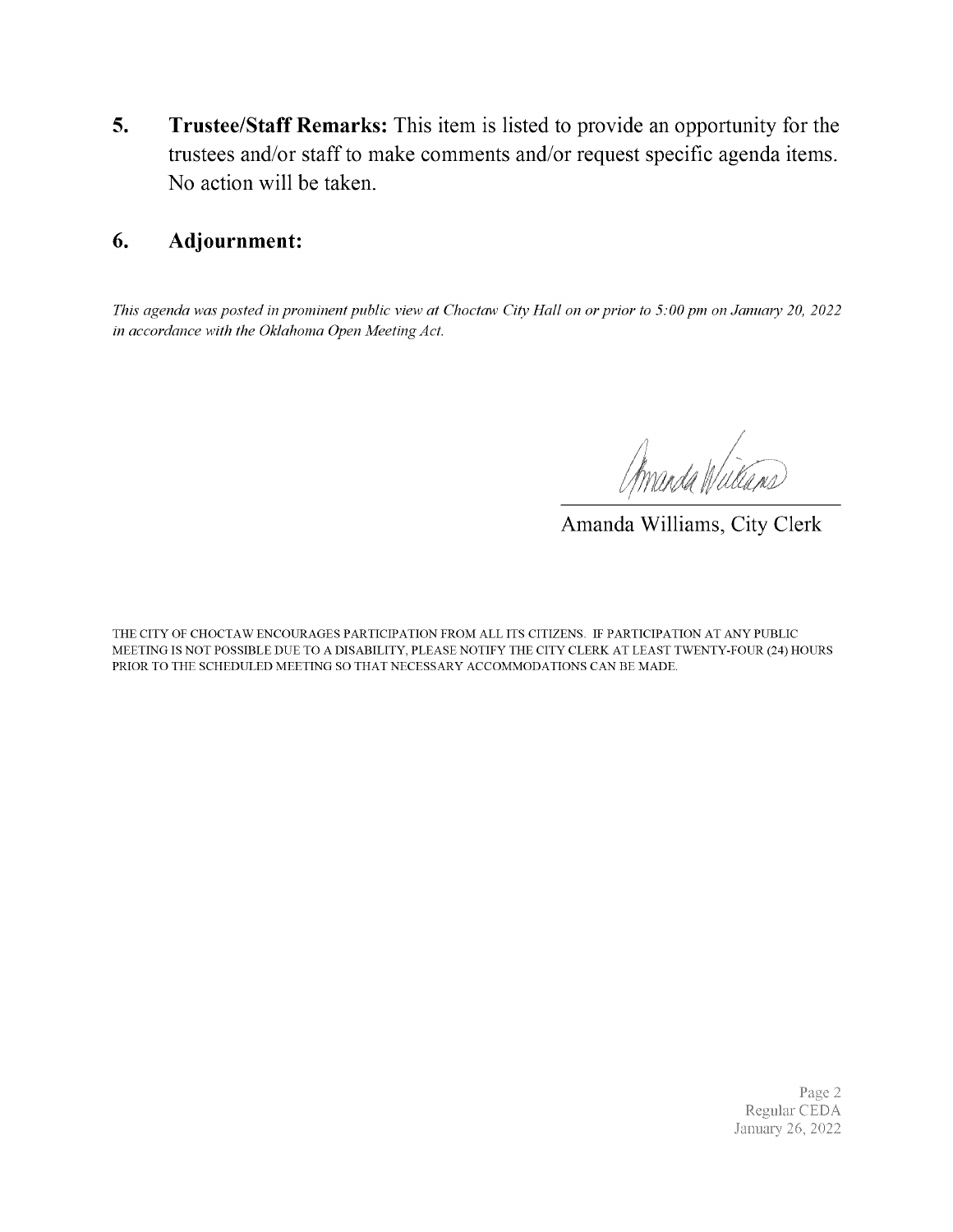5. Trustee/Staff Remarks: This item is listed to provide an opportunity for the trustees and/or staff to make comments and/or request specific agenda items. No action will be taken.

#### 6. Adjournment:

This agenda was posted in prominent public view at Choctaw City Hall on or prior to S: 00 pm on January 20, 2022 in accordance with the Oklahoma Open Meeting Act.

Amanda Wullams

Amanda Williams, City Clerk

THE CITY OF CHOCTAW ENCOURAGES PARTICIPATION FROM ALL ITS CITIZENS. IF PARTICIPATION AT ANY PUBLIC MEETING IS NOT POSSIBLE DUE TO A DISABILITY, PLEASE NOTIFY THE CITY CLERK AT LEAST TWENTY-FOUR (24) HOURS PRIOR TO THE SCHEDULED MEETING SO THAT NECESSARY ACCOMMODATIONS CAN BE MADE.

> Page 2 Regular CEDA January 26, 2022.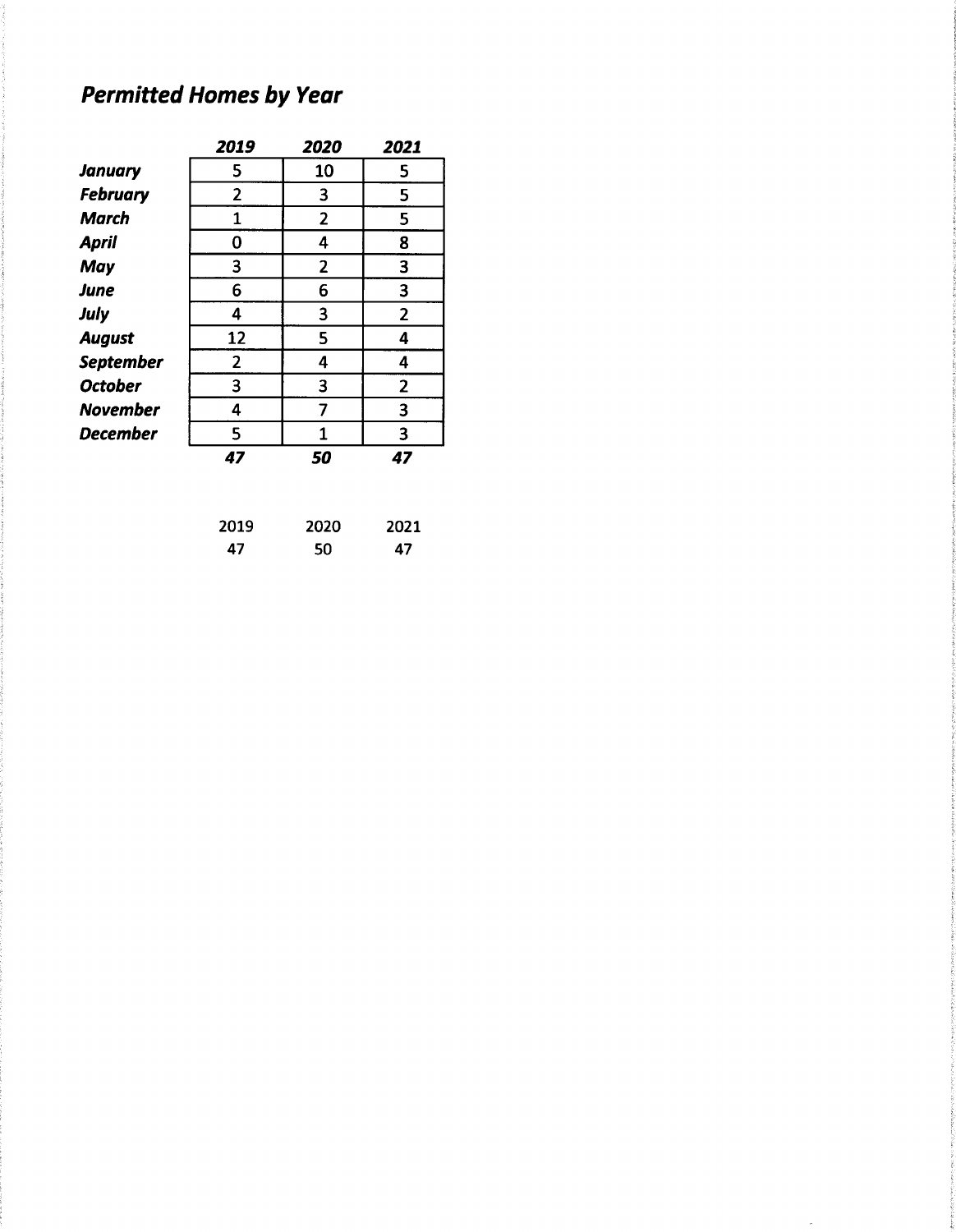# **Permitted Homes by Year**

|                  | 2019           | 2020           | 2021           |
|------------------|----------------|----------------|----------------|
| <b>January</b>   | 5              | 10             | 5              |
| <b>February</b>  | $\overline{2}$ | 3              | 5              |
| <b>March</b>     | 1              | 2              | 5              |
| <b>April</b>     | 0              | 4              | 8              |
| <b>May</b>       | 3              | $\overline{2}$ | 3              |
| <b>June</b>      | 6              | 6              | 3              |
| July             | 4              | 3              | $\overline{2}$ |
| <b>August</b>    | 12             | 5              | 4              |
| <b>September</b> | $\overline{2}$ | 4              | 4              |
| <b>October</b>   | 3              | 3              | $\overline{2}$ |
| <b>November</b>  | 4              | 7              | 3              |
| <b>December</b>  | 5              | 1              | 3              |
|                  | 47             | 50             | 47             |
|                  |                |                |                |

| 2019 | 2020 | 2021 |
|------|------|------|
| 47   | 50   | 47   |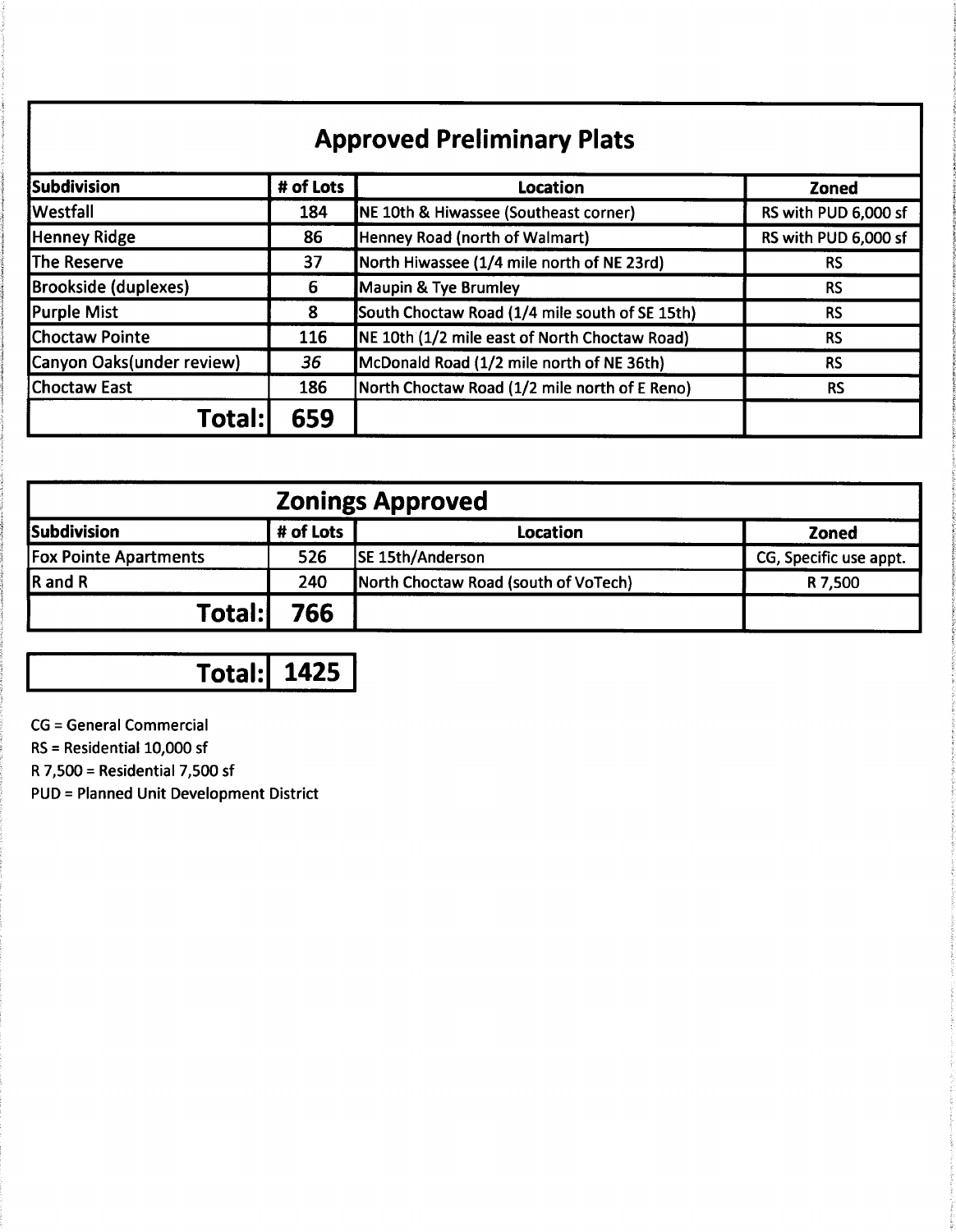# **Approved Preliminary Plats**

| Subdivision                 | # of Lots | <b>Location</b>                                  | <b>Zoned</b>         |
|-----------------------------|-----------|--------------------------------------------------|----------------------|
| <b>Westfall</b>             | 184       | <b>NE 10th &amp; Hiwassee (Southeast corner)</b> | RS with PUD 6,000 sf |
| <b>Henney Ridge</b>         | 86        | Henney Road (north of Walmart)                   | RS with PUD 6,000 sf |
| The Reserve                 | 37        | North Hiwassee (1/4 mile north of NE 23rd)       | RS                   |
| <b>Brookside (duplexes)</b> | 6         | Maupin & Tye Brumley                             | <b>RS</b>            |
| <b>Purple Mist</b>          | 8         | South Choctaw Road (1/4 mile south of SE 15th)   | <b>RS</b>            |
| <b>Choctaw Pointe</b>       | 116       | NE 10th (1/2 mile east of North Choctaw Road)    | <b>RS</b>            |
| Canyon Oaks(under review)   | 36        | McDonald Road (1/2 mile north of NE 36th)        | <b>RS</b>            |
| <b>Choctaw East</b>         | 186       | North Choctaw Road (1/2 mile north of E Reno)    | RS                   |
| <b>Fotal:</b>               | 659       |                                                  |                      |

| <b>Zonings Approved</b>      |           |                                      |                        |  |  |
|------------------------------|-----------|--------------------------------------|------------------------|--|--|
| Subdivision                  | # of Lots | Location                             | <b>Zoned</b>           |  |  |
| <b>Fox Pointe Apartments</b> | 526       | SE 15th/Anderson                     | CG, Specific use appt. |  |  |
| R and R                      | 240       | North Choctaw Road (south of VoTech) | R 7,500                |  |  |
| Total:l                      | 766       |                                      |                        |  |  |

**Total: 1425** 

**CG** = General Commercial

RS = Residential 10,000 sf

R 7,500 = Residential 7,500 sf

**PUD = Planned Unit Development District**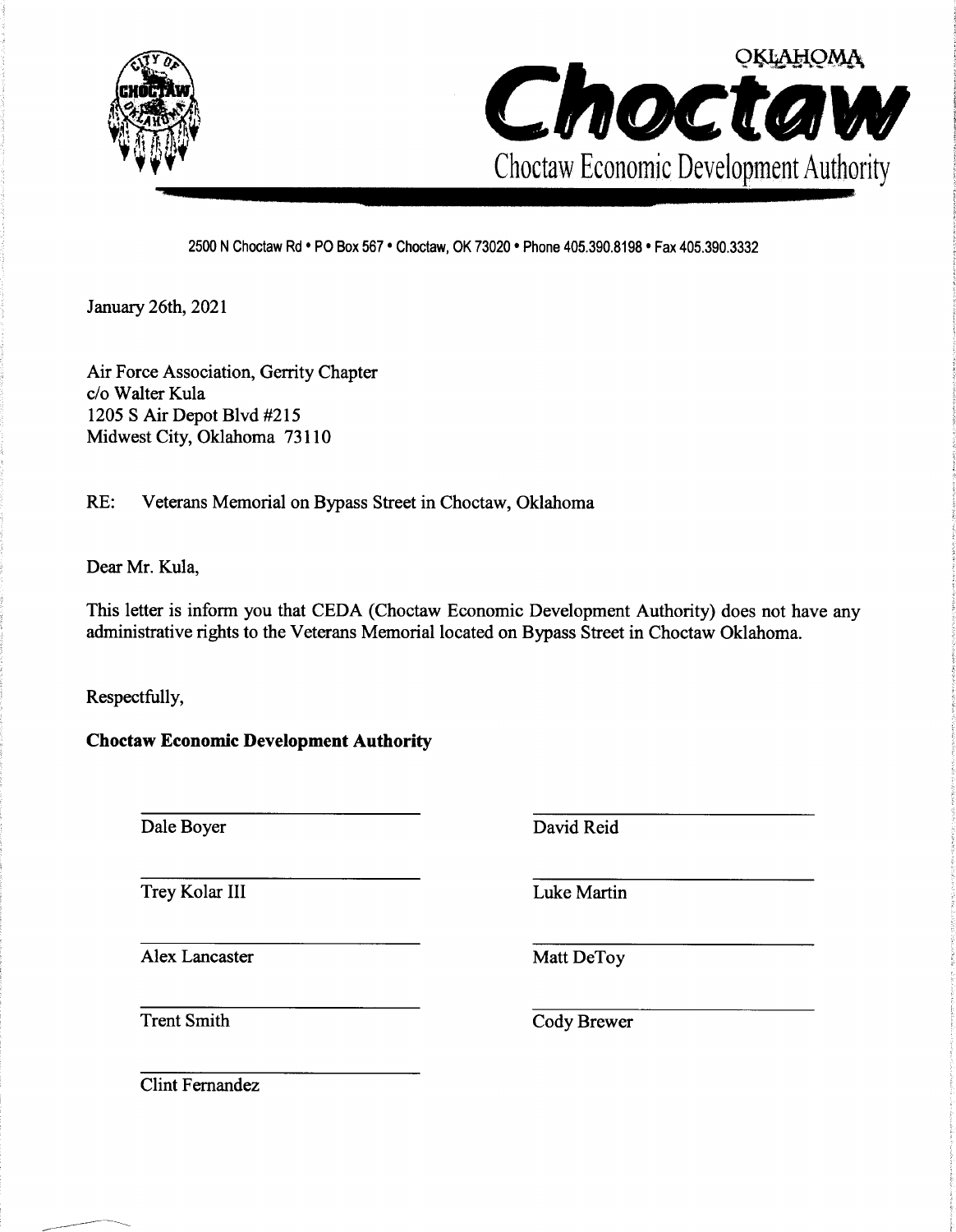



2500 N Choctaw Rd . PO Box 567 . Choctaw, OK 73020 . Phone 405.390.8198 . Fax 405.390.3332

January 26th, 2021

Air Force Association, Gerrity Chapter c/o Walter Kula 1205 S Air Depot Blvd #215 Midwest City, Oklahoma 73110

 $RE:$ Veterans Memorial on Bypass Street in Choctaw, Oklahoma

Dear Mr. Kula,

This letter is inform you that CEDA (Choctaw Economic Development Authority) does not have any administrative rights to the Veterans Memorial located on Bypass Street in Choctaw Oklahoma.

Respectfully,

**Choctaw Economic Development Authority** 

Dale Boyer

Trey Kolar III

Alex Lancaster

David Reid

Luke Martin

Matt DeToy

**Trent Smith** 

Cody Brewer

**Clint Fernandez**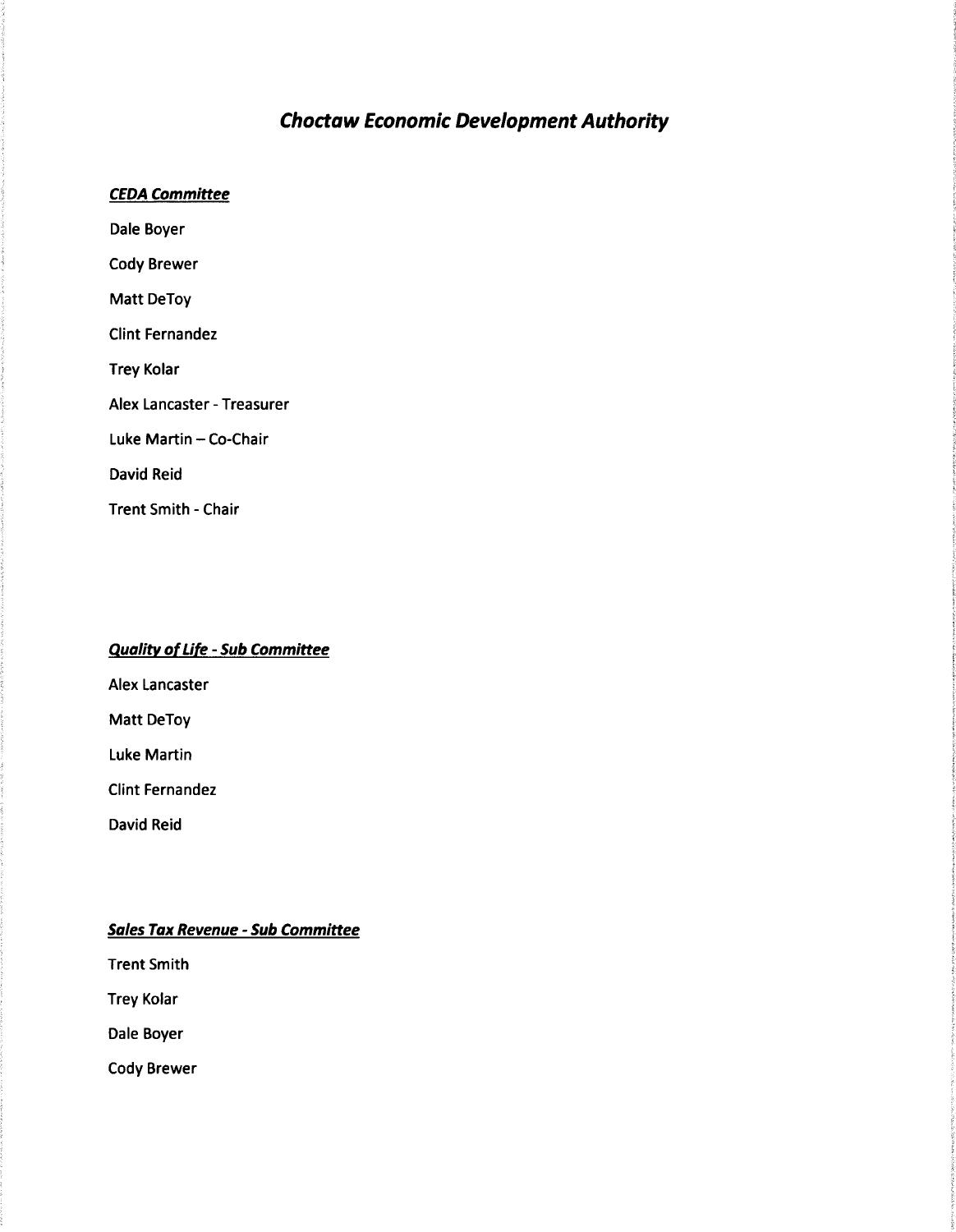#### **Choctaw Economic Development Authority**

#### **CEDA Committee**

Dale Boyer **Cody Brewer** Matt DeToy **Clint Fernandez Trey Kolar** Alex Lancaster - Treasurer Luke Martin - Co-Chair David Reid **Trent Smith - Chair** 

#### **Quality of Life - Sub Committee**

**Alex Lancaster** 

Matt DeToy

**Luke Martin** 

**Clint Fernandez** 

**David Reid** 

#### **Sales Tax Revenue - Sub Committee**

**Trent Smith** 

**Trey Kolar** 

Dale Boyer

**Cody Brewer**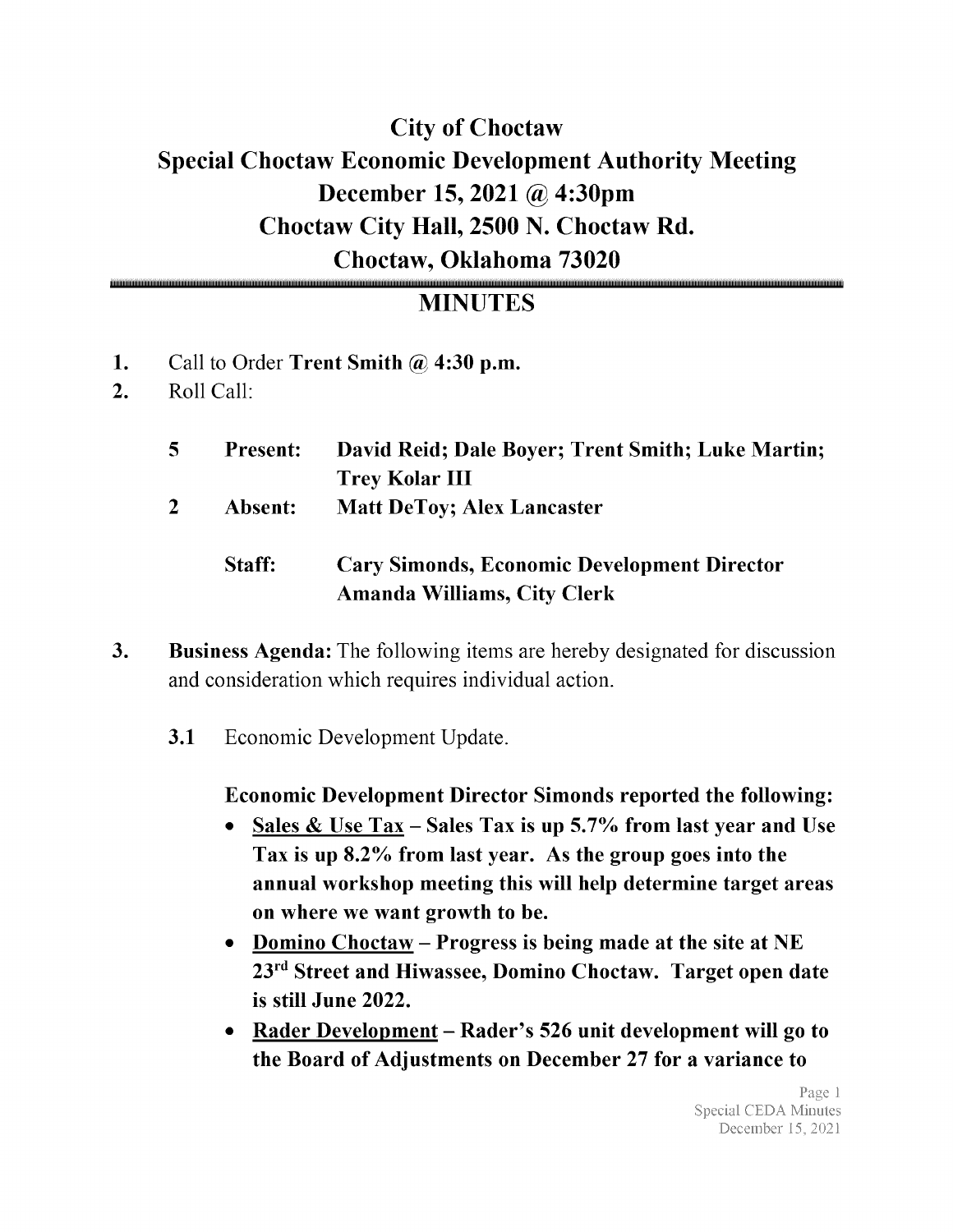# City of Choctaw Special Choctaw Economic Development Authority Meeting December 15, 2021 @ 4:30pm Choctaw City Hall, 2500 N. Choctaw Rd. Choctaw, Oklahoma 73020

### MINUTES

- 1. Call to Order Trent Smith  $\omega$  4:30 p.m.
- 2. Roll Call:

| $\overline{5}$ | <b>Present:</b> | David Reid; Dale Boyer; Trent Smith; Luke Martin;<br><b>Trey Kolar III</b>               |
|----------------|-----------------|------------------------------------------------------------------------------------------|
| $\mathbf{2}$   | Absent:         | <b>Matt DeToy; Alex Lancaster</b>                                                        |
|                | Staff:          | <b>Cary Simonds, Economic Development Director</b><br><b>Amanda Williams, City Clerk</b> |

- 3. Business Agenda: The following items are hereby designated for discussion and consideration which requires individual action.
	- 3.1 Economic Development Update.

### Economic Development Director Simonds reported the following:

- Sales & Use  $Tax Sales Tax$  is up 5.7% from last year and Use  $\bullet$ Tax is up 8.2% from last year. As the group goes into the annual workshop meeting this will help determine target areas on where we want growth to be.
- Domino Choctaw Progress is being made at the site at NE  $\bullet$ 23rd Street and Hiwassee, Domino Choctaw. Target open date is still June 2022.
- Rader Development Rader's 526 unit development will go to  $\bullet$ the Board of Adjustments on December 27 for a variance to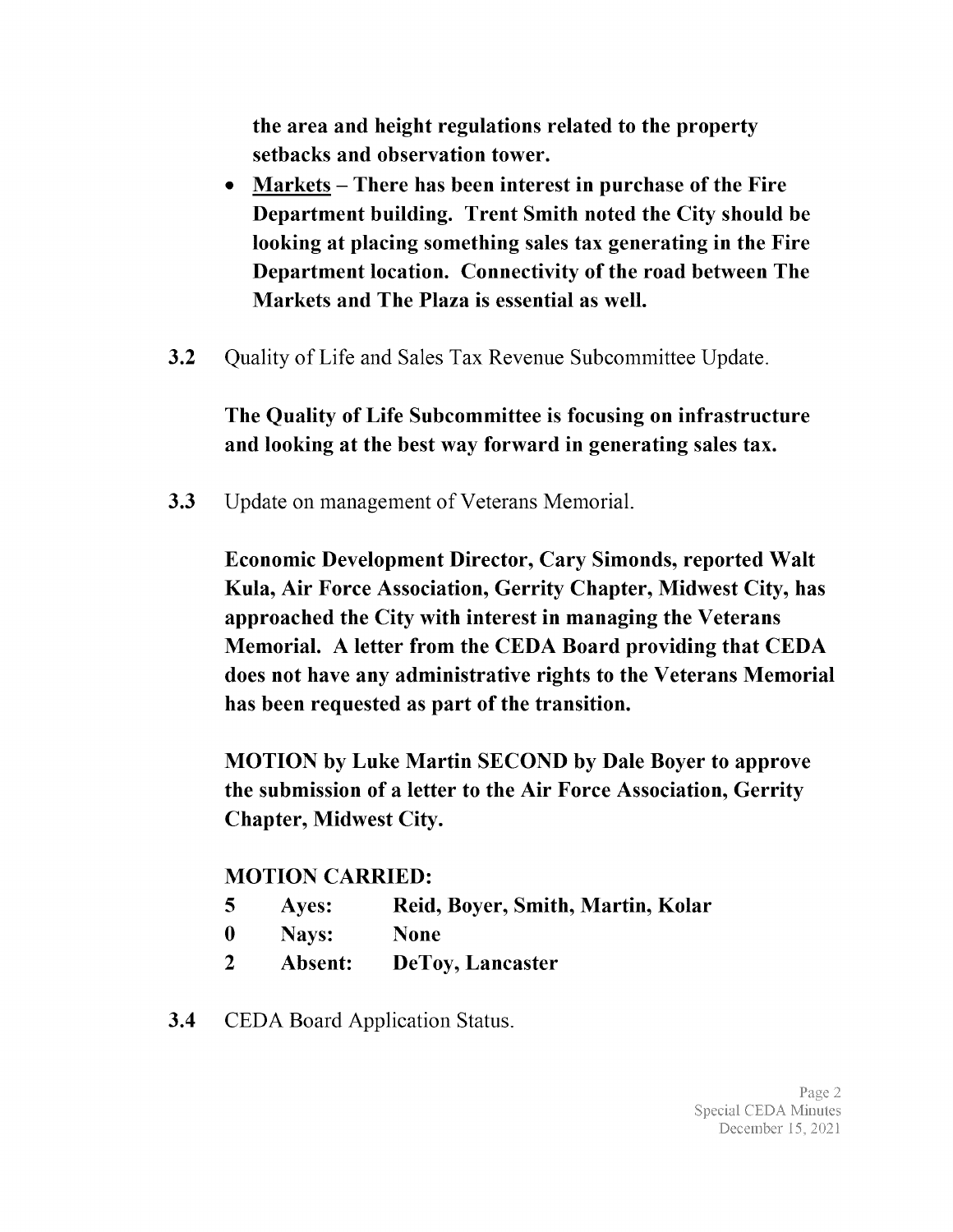the area and height regulations related to the property setbacks and observation tower.

- Markets There has been interest in purchase of the Fire Department building. Trent Smith noted the City should be looking at placing something sales tax generating in the Fire Department location. Connectivity of the road between The Markets and The Plaza is essential as well.
- 3.2 Quality of Life and Sales Tax Revenue Subcommittee Update.

The Quality of Life Subcommittee is focusing on infrastructure and looking at the best way forward in generating sales tax.

3.3 Update on management of Veterans Memorial.

Economic Development Director, Cary Simonds, reported Walt Kula, Air Force Association, Gerrity Chapter, Midwest City, has approached the City with interest in managing the Veterans Memorial. A letter from the CEDA Board providing that CEDA does not have any administrative rights to the Veterans Memorial has been requested as part of the transition.

MOTION by Luke Martin SECOND by Dale Boyer to approve the submission of <sup>a</sup> letter to the Air Force Association, Gerrity Chapter, Midwest City.

### MOTION CARRIED:

- 5 Ayes: Reid, Boyer, Smith, Martin, Kolar
- 0 Nays: None
- <sup>2</sup> Absent: DeToy, Lancaster
- **3.4** CEDA Board Application Status.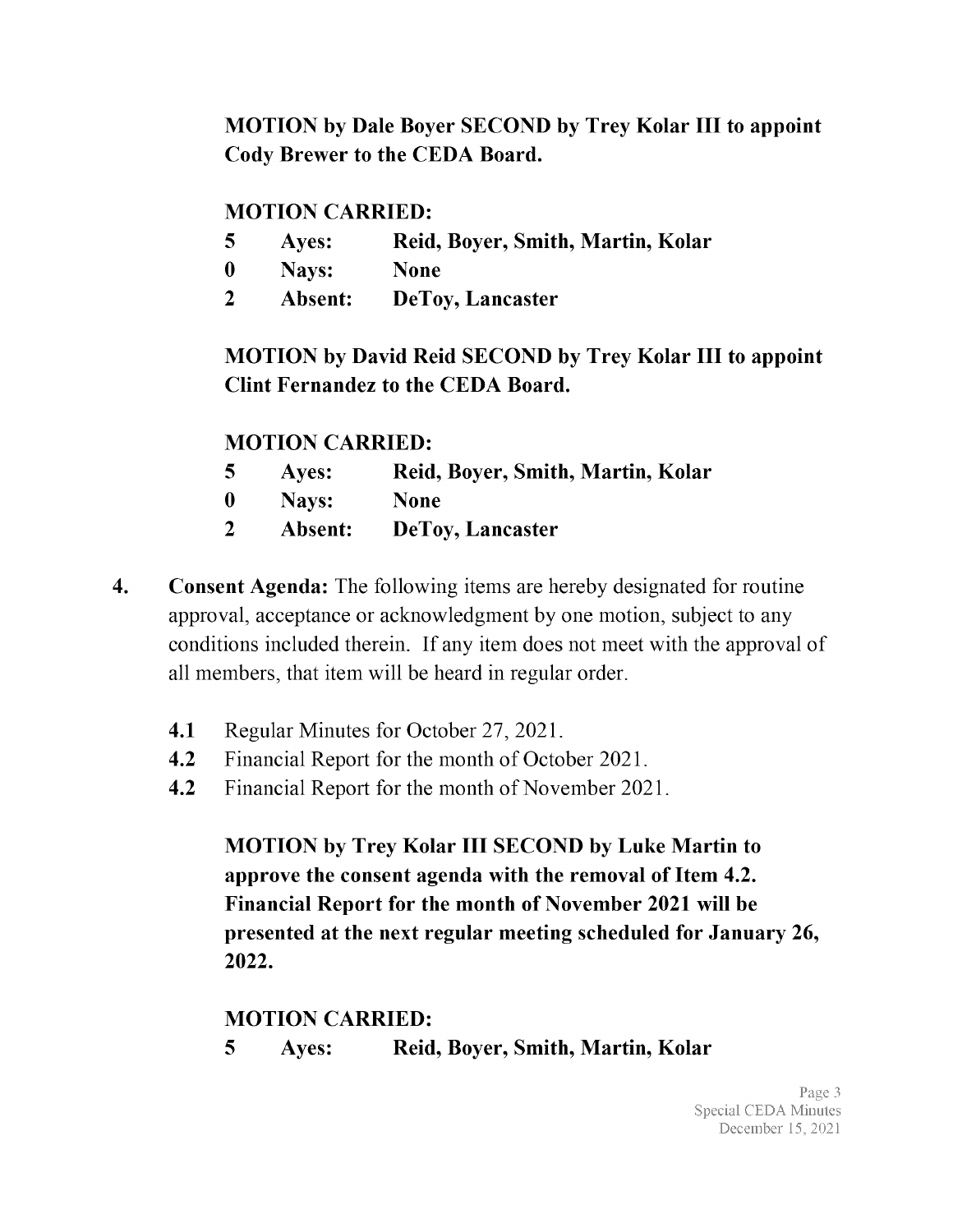MOTION by Dale Boyer SECOND by Trey Kolar III to appoint Cody Brewer to the CEDA Board.

#### MOTION CARRIED:

- 5 Ayes: Reid, Boyer, Smith, Martin, Kolar
- 0 Nays: None
- <sup>2</sup> Absent: DeToy, Lancaster

MOTION by David Reid SECOND by Trey Kolar III to appoint Clint Fernandez to the CEDA Board.

#### MOTION CARRIED:

- 5 Ayes: Reid, Boyer, Smith, Martin, Kolar
- 0 Nays: None
- <sup>2</sup> Absent: DeToy, Lancaster
- 4. Consent Agenda: The following items are hereby designated for routine approval, acceptance or acknowledgment by one motion, subject to any conditions included therein. If any item does not meet with the approval of all members, that item will be heard in regular order.
	- 4.1 Regular Minutes for October 27, 2021.
	- 4.2 Financial Report for the month of October 2021.
	- 4.2 Financial Report for the month of November 2021.

MOTION by Trey Kolar III SECOND by Luke Martin to approve the consent agenda with the removal of Item 4.2. Financial Report for the month of November 2021 will be presented at the next regular meeting scheduled for January 26, 2022.

#### MOTION CARRIED:

5 Ayes: Reid, Boyer, Smith, Martin, Kolar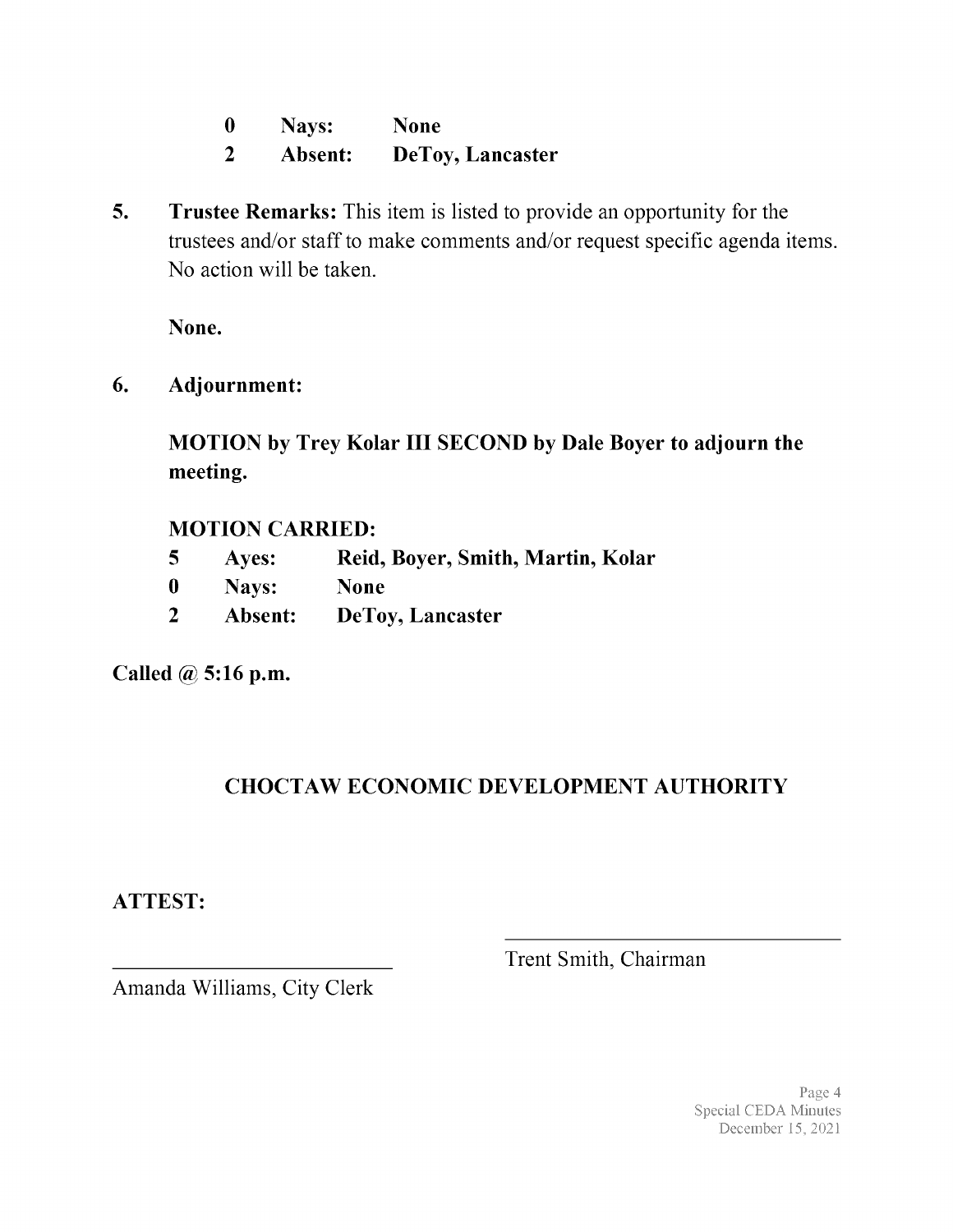| $\bf{0}$ | Nays:   | <b>None</b>             |
|----------|---------|-------------------------|
|          | Absent: | <b>DeToy, Lancaster</b> |

5. Trustee Remarks: This item is listed to provide an opportunity for the trustees and/or staff to make comments and/or request specific agenda items. No action will be taken.

None.

6. Adjournment:

MOTION by Trey Kolar III SECOND by Dale Boyer to adjourn the meeting.

### MOTION CARRIED:

- 5 Ayes: Reid, Boyer, Smith, Martin, Kolar
- 0 Nays: None
- <sup>2</sup> Absent: DeToy, Lancaster

Called @ 5:16 p.m.

### CHOCTAW ECONOMIC DEVELOPMENT AUTHORITY

ATTEST:

Trent Smith, Chairman

Amanda Williams, City Clerk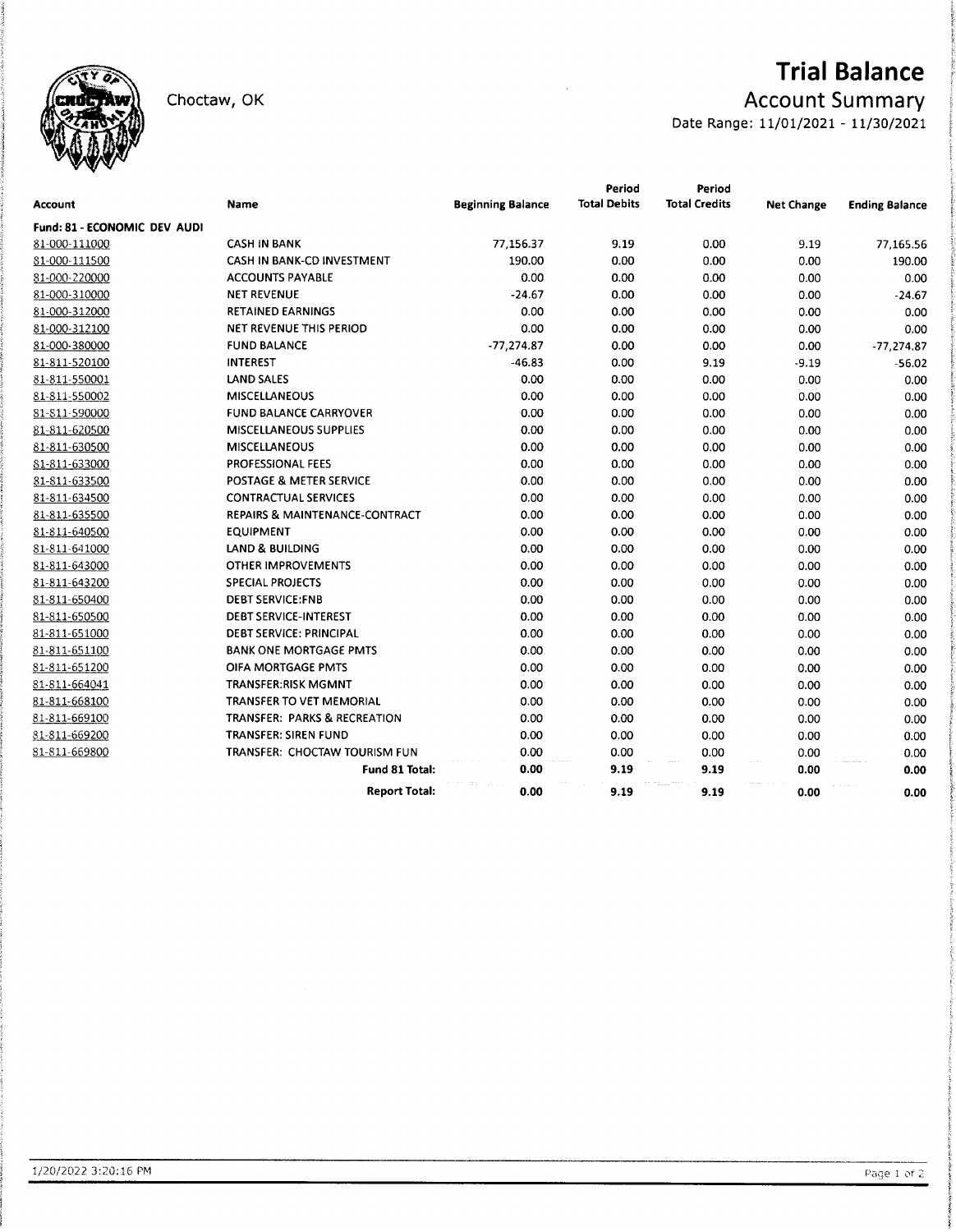

Choctaw, OK

# **Trial Balance**

### **Account Summary**

Date Range: 11/01/2021 - 11/30/2021

|                              |                                |                          | Period              | Period               |                   |                       |
|------------------------------|--------------------------------|--------------------------|---------------------|----------------------|-------------------|-----------------------|
| <b>Account</b>               | Name                           | <b>Beginning Balance</b> | <b>Total Debits</b> | <b>Total Credits</b> | <b>Net Change</b> | <b>Ending Balance</b> |
| Fund: 81 - ECONOMIC DEV AUDI |                                |                          |                     |                      |                   |                       |
| 81-000-111000                | <b>CASH IN BANK</b>            | 77,156.37                | 9.19                | 0.00                 | 9.19              | 77,165.56             |
| 81-000-111500                | CASH IN BANK-CD INVESTMENT     | 190.00                   | 0.00                | 0.00                 | 0.00              | 190.00                |
| 81-000-220000                | <b>ACCOUNTS PAYABLE</b>        | 0.00                     | 0.00                | 0.00                 | 0.00              | 0.00                  |
| 81-000-310000                | <b>NET REVENUE</b>             | $-24.67$                 | 0.00                | 0.00                 | 0.00              | $-24.67$              |
| 81-000-312000                | <b>RETAINED EARNINGS</b>       | 0.00                     | 0.00                | 0.00                 | 0.00              | 0.00                  |
| 81-000-312100                | NET REVENUE THIS PERIOD        | 0.00                     | 0.00                | 0.00                 | 0.00              | 0.00                  |
| 81-000-380000                | <b>FUND BALANCE</b>            | $-77,274.87$             | 0.00                | 0.00                 | 0.00              | $-77,274.87$          |
| 81-811-520100                | <b>INTEREST</b>                | $-46.83$                 | 0.00                | 9.19                 | $-9.19$           | $-56.02$              |
| 81-811-550001                | <b>LAND SALES</b>              | 0.00                     | 0.00                | 0.00                 | 0.00              | 0.00                  |
| 81-811-550002                | <b>MISCELLANEOUS</b>           | 0.00                     | 0.00                | 0.00                 | 0.00              | 0.00                  |
| 81-811-590000                | <b>FUND BALANCE CARRYOVER</b>  | 0.00                     | 0.00                | 0.00                 | 0.00              | 0.00                  |
| 81-811-620500                | <b>MISCELLANEOUS SUPPLIES</b>  | 0.00                     | 0.00                | 0.00                 | 0.00              | 0.00                  |
| 81-811-630500                | <b>MISCELLANEOUS</b>           | 0.00                     | 0.00                | 0.00                 | 0.00              | 0.00                  |
| 81-811-633000                | PROFESSIONAL FEES              | 0.00                     | 0.00                | 0.00                 | 0.00              | 0.00                  |
| 81-811-633500                | POSTAGE & METER SERVICE        | 0.00                     | 0.00                | 0.00                 | 0.00              | 0.00                  |
| 81-811-634500                | <b>CONTRACTUAL SERVICES</b>    | 0.00                     | 0.00                | 0.00                 | 0.00              | 0.00                  |
| 81-811-635500                | REPAIRS & MAINTENANCE-CONTRACT | 0.00                     | 0.00                | 0.00                 | 0.00              | 0.00                  |
| 81-811-640500                | <b>EQUIPMENT</b>               | 0.00                     | 0.00                | 0.00                 | 0.00              | 0.00                  |
| 81-811-641000                | <b>LAND &amp; BUILDING</b>     | 0.00                     | 0.00                | 0.00                 | 0.00              | 0.00                  |
| 81-811-643000                | <b>OTHER IMPROVEMENTS</b>      | 0.00                     | 0.00                | 0.00                 | 0.00              | 0.00                  |
| 81-811-643200                | <b>SPECIAL PROJECTS</b>        | 0.00                     | 0.00                | 0.00                 | 0.00              | 0.00                  |
| 81-811-650400                | <b>DEBT SERVICE:FNB</b>        | 0.00                     | 0.00                | 0.00                 | 0.00              | 0.00                  |
| 81-811-650500                | <b>DEBT SERVICE-INTEREST</b>   | 0.00                     | 0.00                | 0.00                 | 0.00              | 0.00                  |
| 81-811-651000                | <b>DEBT SERVICE: PRINCIPAL</b> | 0.00                     | 0.00                | 0.00                 | 0.00              | 0.00                  |
| 81-811-651100                | <b>BANK ONE MORTGAGE PMTS</b>  | 0.00                     | 0.00                | 0.00                 | 0.00              | 0.00                  |
| 81-811-651200                | OIFA MORTGAGE PMTS             | 0.00                     | 0.00                | 0.00                 | 0.00              | 0.00                  |
| 81-811-664041                | <b>TRANSFER:RISK MGMNT</b>     | 0.00                     | 0.00                | 0.00                 | 0.00              | 0.00                  |
| 81-811-668100                | TRANSFER TO VET MEMORIAL       | 0.00                     | 0.00                | 0.00                 | 0.00              | 0.00                  |
| 81-811-669100                | TRANSFER: PARKS & RECREATION   | 0.00                     | 0.00                | 0.00                 | 0.00              | 0.00                  |
| 81-811-669200                | TRANSFER: SIREN FUND           | 0.00                     | 0.00                | 0.00                 | 0.00              | 0.00                  |
| 81-811-669800                | TRANSFER: CHOCTAW TOURISM FUN  | 0.00                     | 0.00                | 0.00                 | 0.00              | 0.00                  |
|                              | <b>Fund 81 Total:</b>          | 0.00                     | 9.19                | 9.19                 | 0.00              | 0.00                  |
|                              | <b>Report Total:</b>           | 0.00                     | 9.19                | 9.19                 | 0.00              | 0.00                  |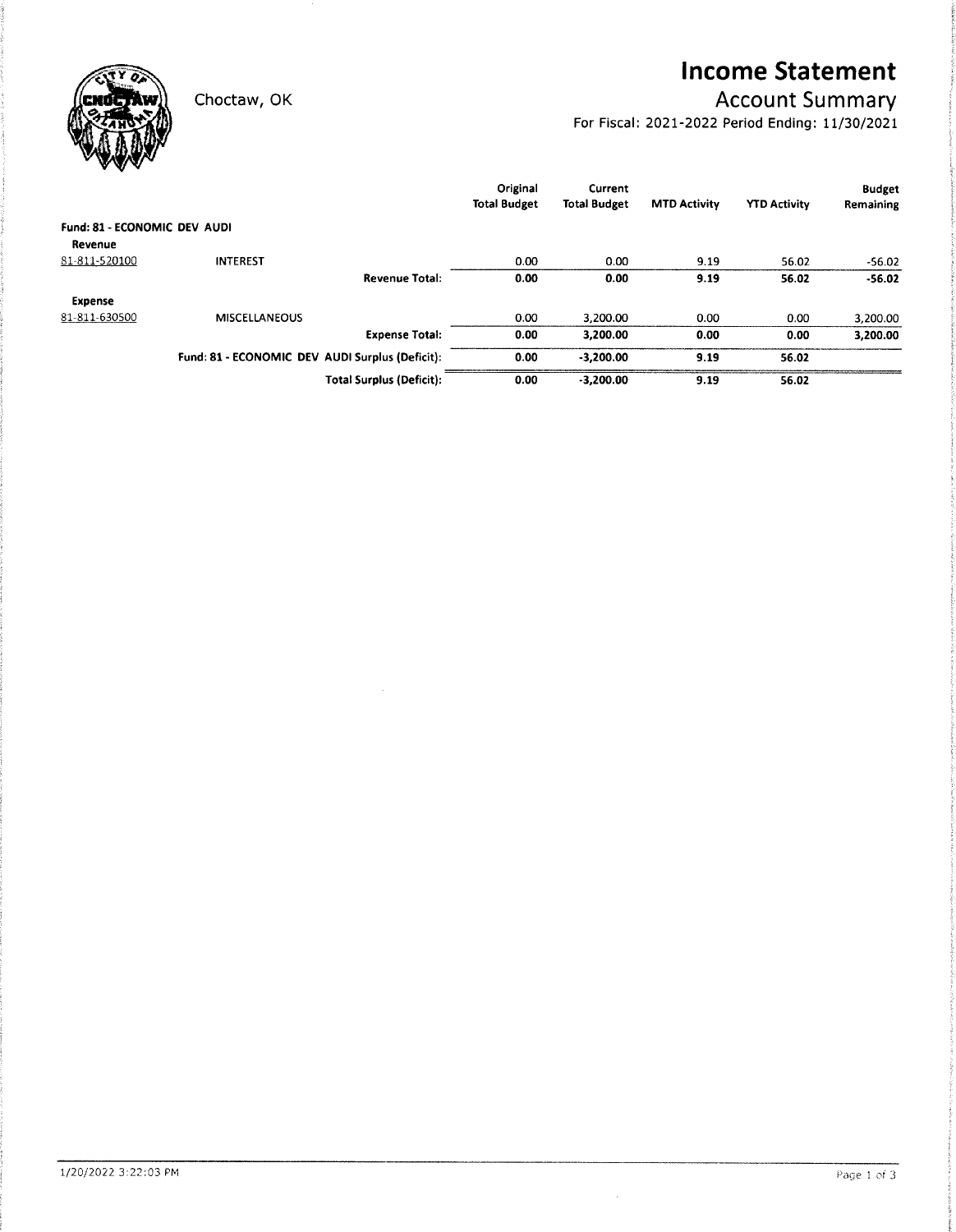**Income Statement** 

### **Account Summary**

For Fiscal: 2021-2022 Period Ending: 11/30/2021



Choctaw, OK

|                              |                                                 |                                 | Original<br><b>Total Budget</b> | Current<br><b>Total Budget</b> | <b>MTD Activity</b> | <b>YTD Activity</b> | <b>Budget</b><br>Remaining |
|------------------------------|-------------------------------------------------|---------------------------------|---------------------------------|--------------------------------|---------------------|---------------------|----------------------------|
| Fund: 81 - ECONOMIC DEV AUDI |                                                 |                                 |                                 |                                |                     |                     |                            |
| Revenue                      |                                                 |                                 |                                 |                                |                     |                     |                            |
| 81-811-520100                | <b>INTEREST</b>                                 |                                 | 0.00                            | 0.00                           | 9.19                | 56.02               | $-56.02$                   |
|                              |                                                 | <b>Revenue Total:</b>           | 0.00                            | 0.00                           | 9.19                | 56.02               | $-56.02$                   |
| <b>Expense</b>               |                                                 |                                 |                                 |                                |                     |                     |                            |
| 81-811-630500                | <b>MISCELLANEOUS</b>                            |                                 | 0.00                            | 3.200.00                       | 0.00                | 0.00                | 3.200.00                   |
|                              |                                                 | <b>Expense Total:</b>           | 0.00                            | 3.200.00                       | 0.00                | 0.00                | 3,200.00                   |
|                              | Fund: 81 - ECONOMIC DEV AUDI Surplus (Deficit): |                                 | 0.00                            | $-3.200.00$                    | 9.19                | 56.02               |                            |
|                              |                                                 | <b>Total Surplus (Deficit):</b> | 0.00                            | $-3.200.00$                    | 9.19                | 56.02               |                            |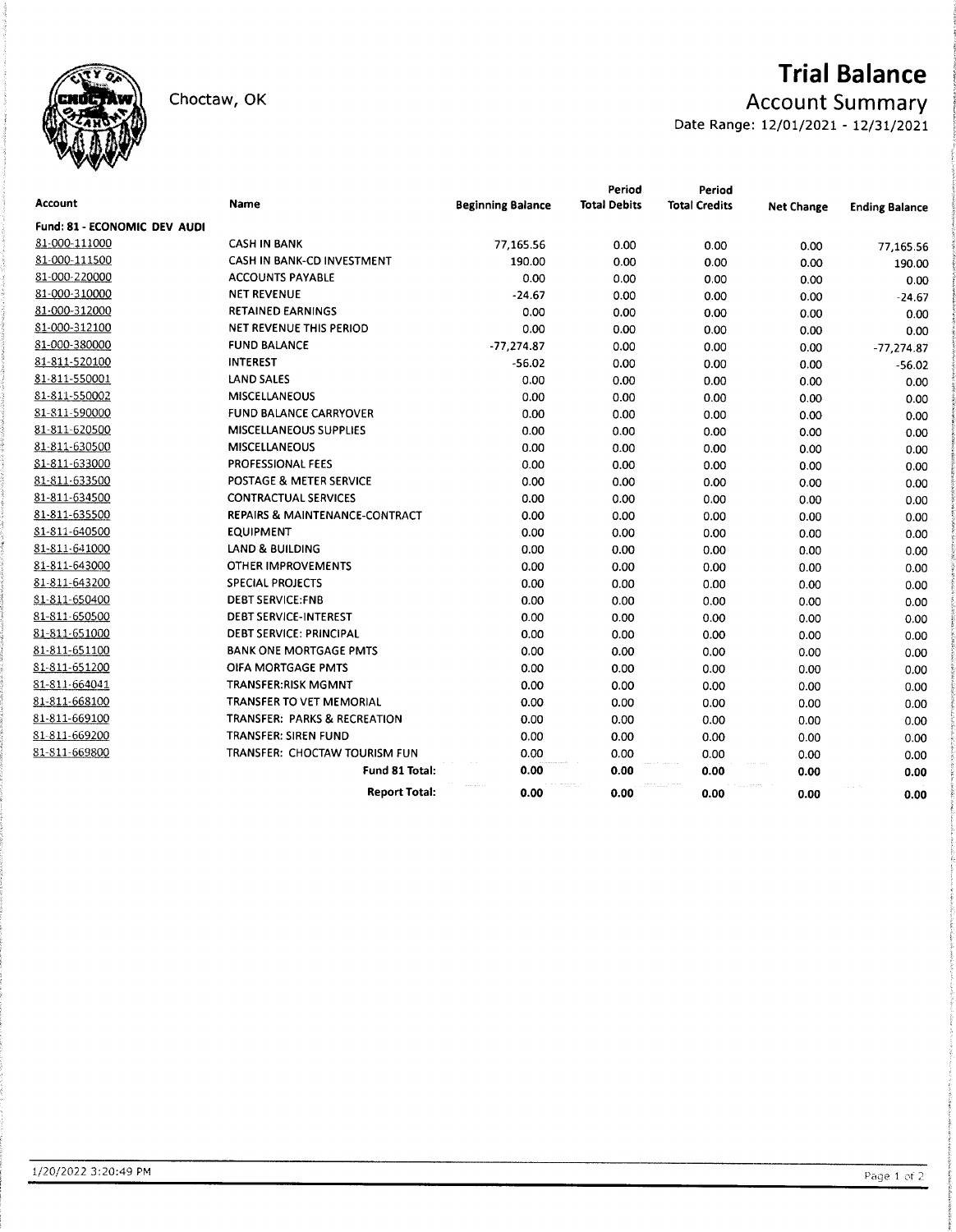

# **Trial Balance**

**Account Summary** 

Date Range: 12/01/2021 - 12/31/2021

| Account                             | <b>Name</b>                             | <b>Beginning Balance</b> | Period<br><b>Total Debits</b> | Period<br><b>Total Credits</b> | <b>Net Change</b> | <b>Ending Balance</b> |
|-------------------------------------|-----------------------------------------|--------------------------|-------------------------------|--------------------------------|-------------------|-----------------------|
| <b>Fund: 81 - ECONOMIC DEV AUDI</b> |                                         |                          |                               |                                |                   |                       |
| 81-000-111000                       | <b>CASH IN BANK</b>                     | 77,165.56                | 0.00                          | 0.00                           | 0.00              | 77,165.56             |
| 81-000-111500                       | CASH IN BANK-CD INVESTMENT              | 190.00                   | 0.00                          | 0.00                           | 0.00              | 190.00                |
| 81-000-220000                       | <b>ACCOUNTS PAYABLE</b>                 | 0.00                     | 0.00                          | 0.00                           | 0.00              | 0.00                  |
| 81-000-310000                       | <b>NET REVENUE</b>                      | $-24.67$                 | 0.00                          | 0.00                           | 0.00              | $-24.67$              |
| 81-000-312000                       | <b>RETAINED EARNINGS</b>                | 0.00                     | 0.00                          | 0.00                           | 0.00              | 0.00                  |
| 81-000-312100                       | NET REVENUE THIS PERIOD                 | 0.00                     | 0.00                          | 0.00                           | 0.00              | 0.00                  |
| 81-000-380000                       | <b>FUND BALANCE</b>                     | $-77,274.87$             | 0.00                          | 0.00                           | 0.00              | $-77,274.87$          |
| 81-811-520100                       | <b>INTEREST</b>                         | $-56.02$                 | 0.00                          | 0.00                           | 0.00              | $-56.02$              |
| 81-811-550001                       | LAND SALES                              | 0.00                     | 0.00                          | 0.00                           | 0.00              | 0.00                  |
| 81-811-550002                       | <b>MISCELLANEOUS</b>                    | 0.00                     | 0.00                          | 0.00                           | 0.00              | 0.00                  |
| 81-811-590000                       | <b>FUND BALANCE CARRYOVER</b>           | 0.00                     | 0.00                          | 0.00                           | 0.00              | 0.00                  |
| 81-811-620500                       | MISCELLANEOUS SUPPLIES                  | 0.00                     | 0.00                          | 0.00                           | 0.00              | 0.00                  |
| 81-811-630500                       | <b>MISCELLANEOUS</b>                    | 0.00                     | 0.00                          | 0.00                           | 0.00              | 0.00                  |
| 81-811-633000                       | PROFESSIONAL FEES                       | 0.00                     | 0.00                          | 0.00                           | 0.00              | 0.00                  |
| 81-811-633500                       | POSTAGE & METER SERVICE                 | 0.00                     | 0.00                          | 0.00                           | 0.00              | 0.00                  |
| 81-811-634500                       | <b>CONTRACTUAL SERVICES</b>             | 0.00                     | 0.00                          | 0.00                           | 0.00              | 0.00                  |
| 81-811-635500                       | REPAIRS & MAINTENANCE-CONTRACT          | 0.00                     | 0.00                          | 0.00                           | 0.00              | 0.00                  |
| 81-811-640500                       | <b>EQUIPMENT</b>                        | 0.00                     | 0.00                          | 0.00                           | 0.00              | 0.00                  |
| 81-811-641000                       | LAND & BUILDING                         | 0.00                     | 0.00                          | 0.00                           | 0.00              | 0.00                  |
| 81-811-643000                       | OTHER IMPROVEMENTS                      | 0.00                     | 0.00                          | 0.00                           | 0.00              | 0.00                  |
| 81-811-643200                       | <b>SPECIAL PROJECTS</b>                 | 0.00                     | 0.00                          | 0.00                           | 0.00              | 0.00                  |
| 81-811-650400                       | <b>DEBT SERVICE:FNB</b>                 | 0.00                     | 0.00                          | 0.00                           | 0.00              | 0.00                  |
| 81-811-650500                       | <b>DEBT SERVICE-INTEREST</b>            | 0.00                     | 0.00                          | 0.00                           | 0.00              | 0.00                  |
| 81-811-651000                       | <b>DEBT SERVICE: PRINCIPAL</b>          | 0.00                     | 0.00                          | 0.00                           | 0.00              | 0.00                  |
| 81-811-651100                       | <b>BANK ONE MORTGAGE PMTS</b>           | 0.00                     | 0.00                          | 0.00                           | 0.00              | 0.00                  |
| 81-811-651200                       | OIFA MORTGAGE PMTS                      | 0.00                     | 0.00                          | 0.00                           | 0.00              | 0.00                  |
| 81-811-664041                       | <b>TRANSFER:RISK MGMNT</b>              | 0.00                     | 0.00                          | 0.00                           | 0.00              | 0.00                  |
| 81-811-668100                       | TRANSFER TO VET MEMORIAL                | 0.00                     | 0.00                          | 0.00                           | 0.00              | 0.00                  |
| 81-811-669100                       | <b>TRANSFER: PARKS &amp; RECREATION</b> | 0.00                     | 0.00                          | 0.00                           | 0.00              | 0.00                  |
| 81-811-669200                       | TRANSFER: SIREN FUND                    | 0.00                     | 0.00                          | 0.00                           | 0.00              | 0.00                  |
| 81-811-669800                       | TRANSFER: CHOCTAW TOURISM FUN           | 0.00                     | 0.00                          | 0.00                           | 0.00              | 0.00                  |
|                                     | Fund 81 Total:                          | 0.00                     | 0.00                          | 0.00                           | 0.00              | 0.00                  |
|                                     | <b>Report Total:</b>                    | 0.00                     | 0.00                          | 0.00                           | 0.00              | 0.00                  |